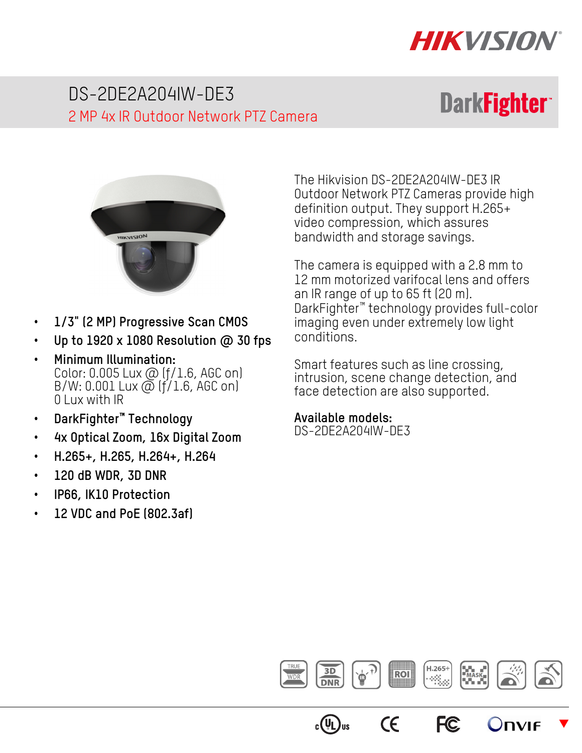

# DS-2DE2A204IW-DE3 2 MP 4x IR Outdoor Network PTZ Camera

# **DarkFighter**



- **1/3" (2 MP) Progressive Scan CMOS**
- **Up to 1920 x 1080 Resolution @ 30 fps**
- **Minimum Illumination:**  Color: 0.005 Lux @ (ƒ/1.6, AGC on)  $B/W: 0.001$  Lux  $\overline{\omega}$  (f/1.6, AGC on) 0 Lux with IR
- **DarkFighter™ Technology**
- **4x Optical Zoom, 16x Digital Zoom**
- **H.265+, H.265, H.264+, H.264**
- **120 dB WDR, 3D DNR**
- **IP66, IK10 Protection**
- **12 VDC and PoE (802.3af)**

The Hikvision DS-2DE2A204IW-DE3 IR Outdoor Network PTZ Cameras provide high definition output. They support H.265+ video compression, which assures bandwidth and storage savings.

The camera is equipped with a 2.8 mm to 12 mm motorized varifocal lens and offers an IR range of up to 65 ft (20 m). DarkFighter™ technology provides full-color imaging even under extremely low light conditions.

Smart features such as line crossing, intrusion, scene change detection, and face detection are also supported.

#### **Available models:**

DS-2DE2A204IW-DE3



**FC** 

 $\epsilon$ 

 $c(U_L)$ us

 $\overline{\blacktriangledown}$ 

Onvie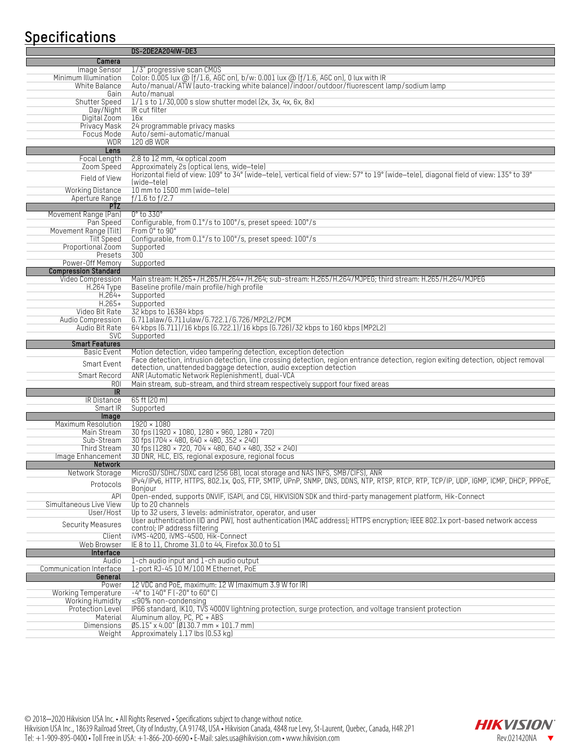### **Specifications**

|                                               | <b>DS-2DE2A204IW-DE3</b>                                                                                                                             |
|-----------------------------------------------|------------------------------------------------------------------------------------------------------------------------------------------------------|
| Camera                                        |                                                                                                                                                      |
| Image Sensor                                  | 1/3" progressive scan CM0S                                                                                                                           |
| Minimum Illumination                          | Color: 0.005 lux @ (f/1.6, AGC on), b/w: 0.001 lux @ (f/1.6, AGC on), 0 lux with IR                                                                  |
| White Balance                                 | Auto/manual/ATW (auto-tracking white balance)/indoor/outdoor/fluorescent lamp/sodium lamp                                                            |
| Gain                                          | Auto/manual                                                                                                                                          |
| Shutter Speed                                 | $1/1$ s to $1/30,000$ s slow shutter model (2x, 3x, 4x, 6x, 8x)                                                                                      |
| Day/Night                                     | IR cut filter                                                                                                                                        |
| Digital Zoom                                  | 16x                                                                                                                                                  |
| Privacy Mask                                  | 24 programmable privacy masks                                                                                                                        |
| Focus Mode                                    | Auto/semi-automatic/manual                                                                                                                           |
| <b>WDR</b>                                    | 120 dB WDR                                                                                                                                           |
| Lens                                          |                                                                                                                                                      |
| Focal Length<br>Zoom Speed                    | 2.8 to 12 mm, 4x optical zoom<br>Approximately 2s (optical lens, wide-tele)                                                                          |
|                                               | Horizontal field of view: 109° to 34° (wide-tele), vertical field of view: 57° to 19° (wide-tele), diagonal field of view: 135° to 39°               |
| Field of View                                 | (wide-tele)                                                                                                                                          |
| <b>Working Distance</b>                       | 10 mm to 1500 mm (wide-tele)                                                                                                                         |
| Aperture Range                                | $f/1.6$ to $f/2.7$                                                                                                                                   |
| <b>PTZ</b>                                    |                                                                                                                                                      |
| Movement Range (Pan)                          | $0^\circ$ to 330 $^\circ$                                                                                                                            |
| Pan Speed                                     | Configurable, from 0.1°/s to 100°/s, preset speed: 100°/s                                                                                            |
| Movement Range (Tilt)                         | From 0° to 90°                                                                                                                                       |
| <b>Tilt Speed</b>                             | Configurable, from 0.1°/s to 100°/s, preset speed: 100°/s                                                                                            |
| Proportional Zoom                             | Supported                                                                                                                                            |
| Presets                                       | $\overline{300}$                                                                                                                                     |
| Power-Off Memory                              | Supported                                                                                                                                            |
| <b>Compression Standard</b>                   |                                                                                                                                                      |
| <b>Video Compression</b><br><b>H.264 Type</b> | Main stream: H.265+/H.265/H.264+/H.264; sub-stream: H.265/H.264/MJPEG; third stream: H.265/H.264/MJPEG<br>Baseline profile/main profile/high profile |
| $H.264+$                                      | Supported                                                                                                                                            |
| $H.265+$                                      | Supported                                                                                                                                            |
| Video Bit Rate                                | 32 kbps to 16384 kbps                                                                                                                                |
| Audio Compression                             | G.711alaw/G.711ulaw/G.722.1/G.726/MP2L2/PCM                                                                                                          |
| Audio Bit Rate                                | 64 kbps (6.711)/16 kbps (6.722.1)/16 kbps (6.726)/32 kbps to 160 kbps (MP2L2)                                                                        |
| <b>SVC</b>                                    | Supported                                                                                                                                            |
| <b>Smart Features</b>                         |                                                                                                                                                      |
| Basic Event                                   | Motion detection, video tampering detection, exception detection                                                                                     |
| Smart Event                                   | Face detection, intrusion detection, line crossing detection, region entrance detection, region exiting detection, object removal                    |
|                                               | detection, unattended baggage detection, audio exception detection                                                                                   |
| <b>Smart Record</b>                           | ANR (Automatic Network Replenishment), dual-VCA                                                                                                      |
| <b>ROI</b>                                    | Main stream, sub-stream, and third stream respectively support four fixed areas                                                                      |
| <b>IR</b>                                     | 65 ft (20 m)                                                                                                                                         |
| IR Distance<br>Smart IR                       |                                                                                                                                                      |
| Image                                         |                                                                                                                                                      |
|                                               | Supported                                                                                                                                            |
|                                               |                                                                                                                                                      |
| Maximum Resolution                            | $1920 \times 1080$                                                                                                                                   |
| Main Stream                                   | 30 fps (1920 × 1080, 1280 × 960, 1280 × 720)                                                                                                         |
| Sub-Stream<br>Third Stream                    | $30$ fps (704 × 480, 640 × 480, 352 × 240)<br>$\frac{1}{30}$ fps (1280 × 720, 704 × 480, 640 × 480, 352 × 240)                                       |
| Image Enhancement                             | 3D DNR, HLC, EIS, regional exposure, regional focus                                                                                                  |
| <b>Network</b>                                |                                                                                                                                                      |
| Network Storage                               | MicroSD/SDHC/SDXC card (256 GB), local storage and NAS (NFS, SMB/CIFS), ANR                                                                          |
|                                               | IPV4/IPv6, HTTP, HTTPS, 802.1x, QoS, FTP, SMTP, UPnP, SNMP, DNS, DDNS, NTP, RTSP, RTCP, RTP, TCP/IP, UDP, IGMP, ICMP, DHCP, PPPoE,                   |
| Protocols                                     | <b>Bonjour</b>                                                                                                                                       |
| API                                           | Open-ended, supports ONVIF, ISAPI, and CGI, HIKVISION SDK and third-party management platform, Hik-Connect                                           |
| Simultaneous Live View                        | Up to 20 channels                                                                                                                                    |
| User/Host                                     | Up to 32 users, 3 levels: administrator, operator, and user                                                                                          |
| <b>Security Measures</b>                      | User authentication (ID and PW), host authentication (MAC address); HTTPS encryption; IEEE 802.1x port-based network access                          |
| Client                                        | control; IP address filtering                                                                                                                        |
| Web Browser                                   | iVMS-4200, iVMS-4500, Hik-Connect<br>IE 8 to 11, Chrome 31.0 to 44, Firefox 30.0 to 51                                                               |
| Interface                                     |                                                                                                                                                      |
| Audio                                         | 1-ch audio input and 1-ch audio output                                                                                                               |
| Communication Interface                       | 1-port RJ-45 10 M/100 M Ethernet, PoE                                                                                                                |
| General                                       |                                                                                                                                                      |
| Power                                         | 12 VDC and PoE, maximum: 12 W (maximum 3.9 W for IR)                                                                                                 |
| Working Temperature                           | $-4^{\circ}$ to $140^{\circ}$ F ( $-20^{\circ}$ to 60 $^{\circ}$ C)                                                                                  |
| Working Humidity                              | $\leq$ 90% non-condensing                                                                                                                            |
| <b>Protection Level</b>                       | IP66 standard, IK10, TVS 4000V lightning protection, surge protection, and voltage transient protection                                              |
| Material                                      | Aluminum alloy, PC, PC + ABS                                                                                                                         |
| Dimensions<br>Weight                          | $\emptyset$ 5.15" x 4.00" ( $\emptyset$ 130.7 mm × 101.7 mm)<br>Approximately 1.17 lbs (0.53 kg)                                                     |